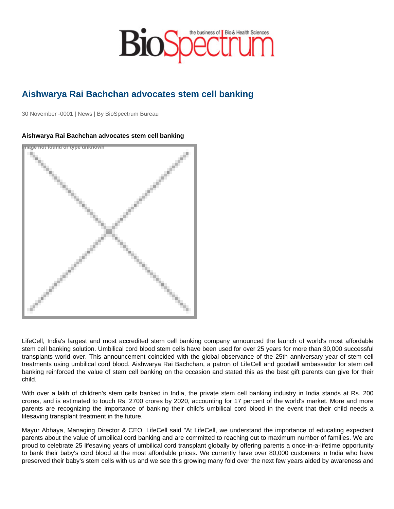## Aishwarya Rai Bachchan advocates stem cell banking

30 November -0001 | News | By BioSpectrum Bureau

## Aishwarya Rai Bachchan advocates stem cell banking

Image not found or type unknown

LifeCell, India's largest and most accredited stem cell banking company announced the launch of world's most affordable stem cell banking solution. Umbilical cord blood stem cells have been used for over 25 years for more than 30,000 successful transplants world over. This announcement coincided with the global observance of the 25th anniversary year of stem cell treatments using umbilical cord blood. Aishwarya Rai Bachchan, a patron of LifeCell and goodwill ambassador for stem cell banking reinforced the value of stem cell banking on the occasion and stated this as the best gift parents can give for their child.

With over a lakh of children's stem cells banked in India, the private stem cell banking industry in India stands at Rs. 200 crores, and is estimated to touch Rs. 2700 crores by 2020, accounting for 17 percent of the world's market. More and more parents are recognizing the importance of banking their child's umbilical cord blood in the event that their child needs a lifesaving transplant treatment in the future.

Mayur Abhaya, Managing Director & CEO, LifeCell said "At LifeCell, we understand the importance of educating expectant parents about the value of umbilical cord banking and are committed to reaching out to maximum number of families. We are proud to celebrate 25 lifesaving years of umbilical cord transplant globally by offering parents a once-in-a-lifetime opportunity to bank their baby's cord blood at the most affordable prices. We currently have over 80,000 customers in India who have preserved their baby's stem cells with us and we see this growing many fold over the next few years aided by awareness and